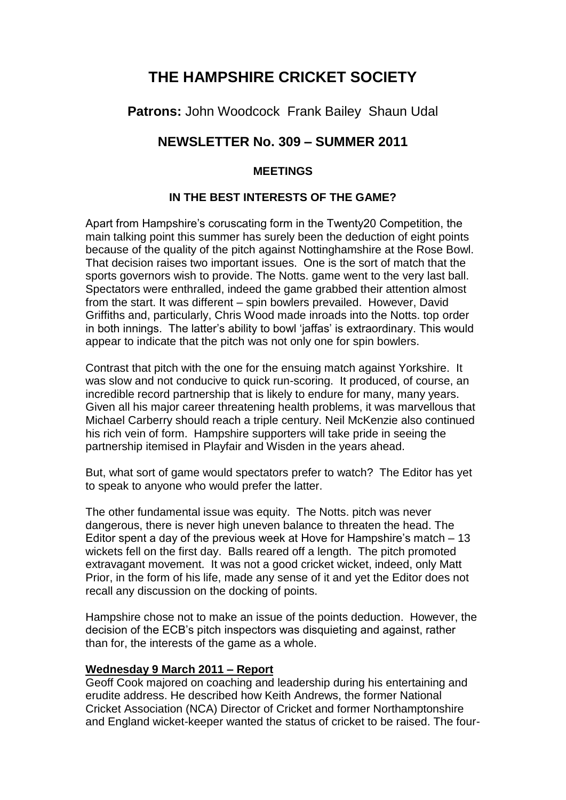# **THE HAMPSHIRE CRICKET SOCIETY**

**Patrons:** John Woodcock Frank Bailey Shaun Udal

## **NEWSLETTER No. 309 – SUMMER 2011**

## **MEETINGS**

### **IN THE BEST INTERESTS OF THE GAME?**

Apart from Hampshire's coruscating form in the Twenty20 Competition, the main talking point this summer has surely been the deduction of eight points because of the quality of the pitch against Nottinghamshire at the Rose Bowl. That decision raises two important issues. One is the sort of match that the sports governors wish to provide. The Notts. game went to the very last ball. Spectators were enthralled, indeed the game grabbed their attention almost from the start. It was different – spin bowlers prevailed. However, David Griffiths and, particularly, Chris Wood made inroads into the Notts. top order in both innings. The latter's ability to bowl 'jaffas' is extraordinary. This would appear to indicate that the pitch was not only one for spin bowlers.

Contrast that pitch with the one for the ensuing match against Yorkshire. It was slow and not conducive to quick run-scoring. It produced, of course, an incredible record partnership that is likely to endure for many, many years. Given all his major career threatening health problems, it was marvellous that Michael Carberry should reach a triple century. Neil McKenzie also continued his rich vein of form. Hampshire supporters will take pride in seeing the partnership itemised in Playfair and Wisden in the years ahead.

But, what sort of game would spectators prefer to watch? The Editor has yet to speak to anyone who would prefer the latter.

The other fundamental issue was equity. The Notts. pitch was never dangerous, there is never high uneven balance to threaten the head. The Editor spent a day of the previous week at Hove for Hampshire's match – 13 wickets fell on the first day. Balls reared off a length. The pitch promoted extravagant movement. It was not a good cricket wicket, indeed, only Matt Prior, in the form of his life, made any sense of it and yet the Editor does not recall any discussion on the docking of points.

Hampshire chose not to make an issue of the points deduction. However, the decision of the ECB's pitch inspectors was disquieting and against, rather than for, the interests of the game as a whole.

#### **Wednesday 9 March 2011 – Report**

Geoff Cook majored on coaching and leadership during his entertaining and erudite address. He described how Keith Andrews, the former National Cricket Association (NCA) Director of Cricket and former Northamptonshire and England wicket-keeper wanted the status of cricket to be raised. The four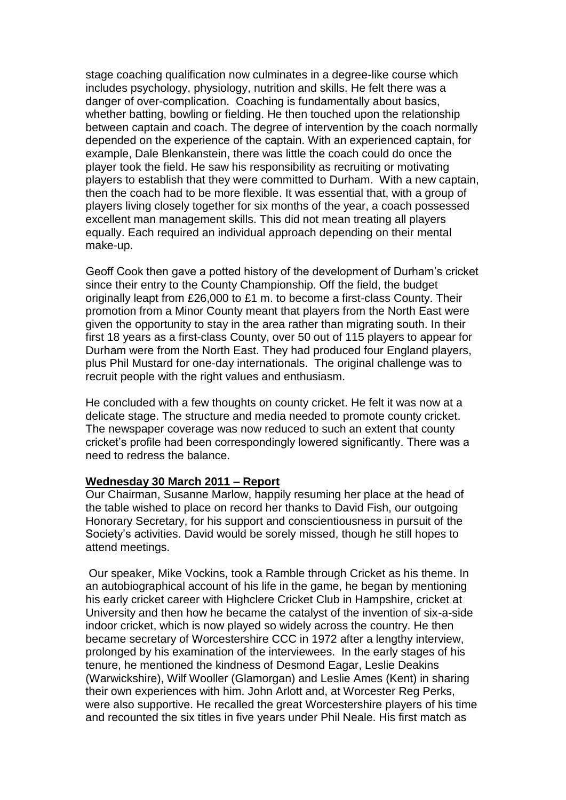stage coaching qualification now culminates in a degree-like course which includes psychology, physiology, nutrition and skills. He felt there was a danger of over-complication. Coaching is fundamentally about basics, whether batting, bowling or fielding. He then touched upon the relationship between captain and coach. The degree of intervention by the coach normally depended on the experience of the captain. With an experienced captain, for example, Dale Blenkanstein, there was little the coach could do once the player took the field. He saw his responsibility as recruiting or motivating players to establish that they were committed to Durham. With a new captain, then the coach had to be more flexible. It was essential that, with a group of players living closely together for six months of the year, a coach possessed excellent man management skills. This did not mean treating all players equally. Each required an individual approach depending on their mental make-up.

Geoff Cook then gave a potted history of the development of Durham's cricket since their entry to the County Championship. Off the field, the budget originally leapt from £26,000 to £1 m. to become a first-class County. Their promotion from a Minor County meant that players from the North East were given the opportunity to stay in the area rather than migrating south. In their first 18 years as a first-class County, over 50 out of 115 players to appear for Durham were from the North East. They had produced four England players, plus Phil Mustard for one-day internationals. The original challenge was to recruit people with the right values and enthusiasm.

He concluded with a few thoughts on county cricket. He felt it was now at a delicate stage. The structure and media needed to promote county cricket. The newspaper coverage was now reduced to such an extent that county cricket's profile had been correspondingly lowered significantly. There was a need to redress the balance.

#### **Wednesday 30 March 2011 – Report**

Our Chairman, Susanne Marlow, happily resuming her place at the head of the table wished to place on record her thanks to David Fish, our outgoing Honorary Secretary, for his support and conscientiousness in pursuit of the Society's activities. David would be sorely missed, though he still hopes to attend meetings.

Our speaker, Mike Vockins, took a Ramble through Cricket as his theme. In an autobiographical account of his life in the game, he began by mentioning his early cricket career with Highclere Cricket Club in Hampshire, cricket at University and then how he became the catalyst of the invention of six-a-side indoor cricket, which is now played so widely across the country. He then became secretary of Worcestershire CCC in 1972 after a lengthy interview, prolonged by his examination of the interviewees. In the early stages of his tenure, he mentioned the kindness of Desmond Eagar, Leslie Deakins (Warwickshire), Wilf Wooller (Glamorgan) and Leslie Ames (Kent) in sharing their own experiences with him. John Arlott and, at Worcester Reg Perks, were also supportive. He recalled the great Worcestershire players of his time and recounted the six titles in five years under Phil Neale. His first match as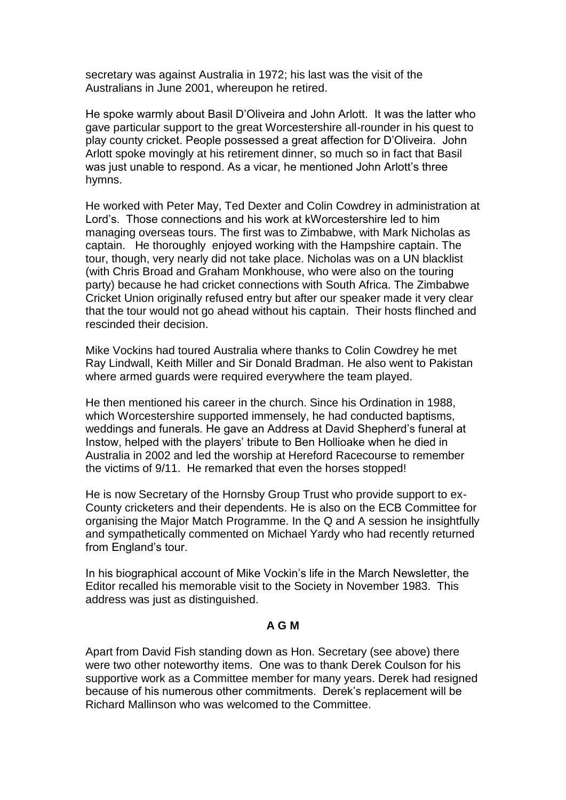secretary was against Australia in 1972; his last was the visit of the Australians in June 2001, whereupon he retired.

He spoke warmly about Basil D'Oliveira and John Arlott. It was the latter who gave particular support to the great Worcestershire all-rounder in his quest to play county cricket. People possessed a great affection for D'Oliveira. John Arlott spoke movingly at his retirement dinner, so much so in fact that Basil was just unable to respond. As a vicar, he mentioned John Arlott's three hymns.

He worked with Peter May, Ted Dexter and Colin Cowdrey in administration at Lord's. Those connections and his work at kWorcestershire led to him managing overseas tours. The first was to Zimbabwe, with Mark Nicholas as captain. He thoroughly enjoyed working with the Hampshire captain. The tour, though, very nearly did not take place. Nicholas was on a UN blacklist (with Chris Broad and Graham Monkhouse, who were also on the touring party) because he had cricket connections with South Africa. The Zimbabwe Cricket Union originally refused entry but after our speaker made it very clear that the tour would not go ahead without his captain. Their hosts flinched and rescinded their decision.

Mike Vockins had toured Australia where thanks to Colin Cowdrey he met Ray Lindwall, Keith Miller and Sir Donald Bradman. He also went to Pakistan where armed guards were required everywhere the team played.

He then mentioned his career in the church. Since his Ordination in 1988, which Worcestershire supported immensely, he had conducted baptisms, weddings and funerals. He gave an Address at David Shepherd's funeral at Instow, helped with the players' tribute to Ben Hollioake when he died in Australia in 2002 and led the worship at Hereford Racecourse to remember the victims of 9/11. He remarked that even the horses stopped!

He is now Secretary of the Hornsby Group Trust who provide support to ex-County cricketers and their dependents. He is also on the ECB Committee for organising the Major Match Programme. In the Q and A session he insightfully and sympathetically commented on Michael Yardy who had recently returned from England's tour.

In his biographical account of Mike Vockin's life in the March Newsletter, the Editor recalled his memorable visit to the Society in November 1983. This address was just as distinguished.

#### **A G M**

Apart from David Fish standing down as Hon. Secretary (see above) there were two other noteworthy items. One was to thank Derek Coulson for his supportive work as a Committee member for many years. Derek had resigned because of his numerous other commitments. Derek's replacement will be Richard Mallinson who was welcomed to the Committee.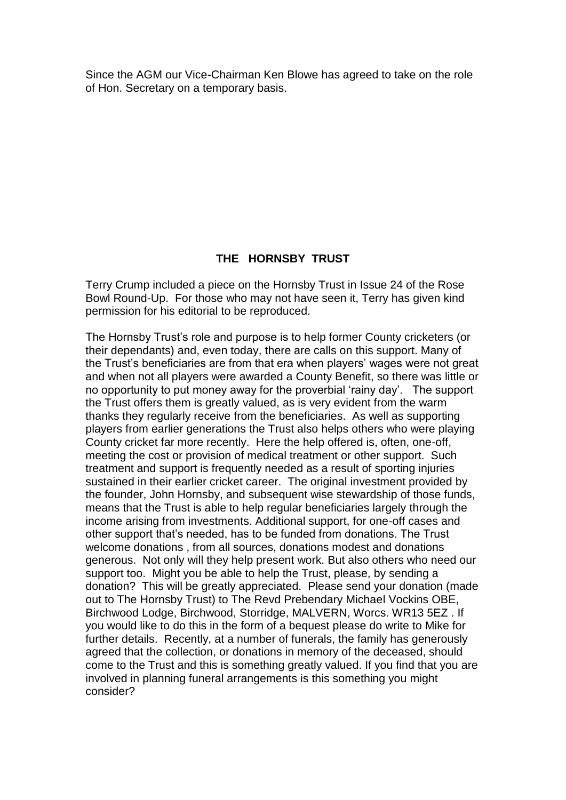Since the AGM our Vice-Chairman Ken Blowe has agreed to take on the role of Hon. Secretary on a temporary basis.

#### **THE HORNSBY TRUST**

Terry Crump included a piece on the Hornsby Trust in Issue 24 of the Rose Bowl Round-Up. For those who may not have seen it, Terry has given kind permission for his editorial to be reproduced.

The Hornsby Trust's role and purpose is to help former County cricketers (or their dependants) and, even today, there are calls on this support. Many of the Trust's beneficiaries are from that era when players' wages were not great and when not all players were awarded a County Benefit, so there was little or no opportunity to put money away for the proverbial 'rainy day'. The support the Trust offers them is greatly valued, as is very evident from the warm thanks they regularly receive from the beneficiaries. As well as supporting players from earlier generations the Trust also helps others who were playing County cricket far more recently. Here the help offered is, often, one-off, meeting the cost or provision of medical treatment or other support. Such treatment and support is frequently needed as a result of sporting injuries sustained in their earlier cricket career. The original investment provided by the founder, John Hornsby, and subsequent wise stewardship of those funds, means that the Trust is able to help regular beneficiaries largely through the income arising from investments. Additional support, for one-off cases and other support that's needed, has to be funded from donations. The Trust welcome donations , from all sources, donations modest and donations generous. Not only will they help present work. But also others who need our support too. Might you be able to help the Trust, please, by sending a donation? This will be greatly appreciated. Please send your donation (made out to The Hornsby Trust) to The Revd Prebendary Michael Vockins OBE, Birchwood Lodge, Birchwood, Storridge, MALVERN, Worcs. WR13 5EZ . If you would like to do this in the form of a bequest please do write to Mike for further details. Recently, at a number of funerals, the family has generously agreed that the collection, or donations in memory of the deceased, should come to the Trust and this is something greatly valued. If you find that you are involved in planning funeral arrangements is this something you might consider?